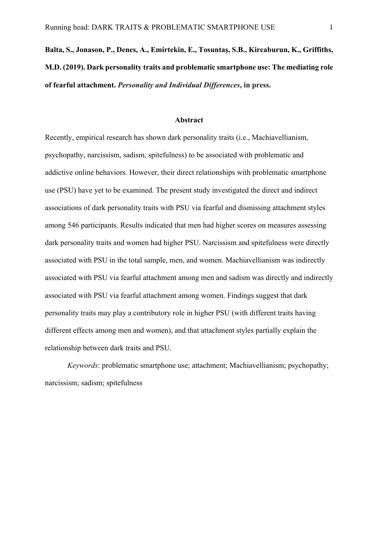# **Balta, S., Jonason, P., Denes, A., Emirtekin, E., Tosuntaş, S.B., Kircaburun, K., Griffiths, M.D. (2019). Dark personality traits and problematic smartphone use: The mediating role of fearful attachment.** *Personality and Individual Differences***, in press.**

#### **Abstract**

Recently, empirical research has shown dark personality traits (i.e., Machiavellianism, psychopathy, narcissism, sadism, spitefulness) to be associated with problematic and addictive online behaviors. However, their direct relationships with problematic smartphone use (PSU) have yet to be examined. The present study investigated the direct and indirect associations of dark personality traits with PSU via fearful and dismissing attachment styles among 546 participants. Results indicated that men had higher scores on measures assessing dark personality traits and women had higher PSU. Narcissism and spitefulness were directly associated with PSU in the total sample, men, and women. Machiavellianism was indirectly associated with PSU via fearful attachment among men and sadism was directly and indirectly associated with PSU via fearful attachment among women. Findings suggest that dark personality traits may play a contributory role in higher PSU (with different traits having different effects among men and women), and that attachment styles partially explain the relationship between dark traits and PSU.

*Keywords*: problematic smartphone use; attachment; Machiavellianism; psychopathy; narcissism; sadism; spitefulness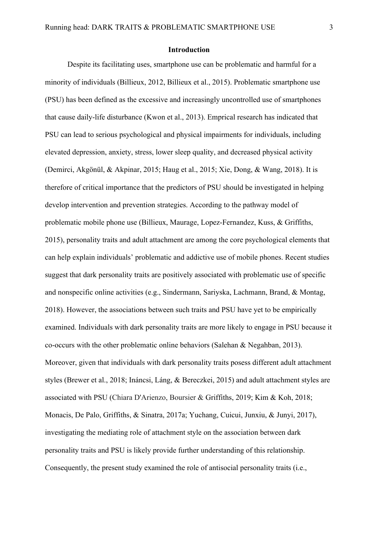#### **Introduction**

Despite its facilitating uses, smartphone use can be problematic and harmful for a minority of individuals (Billieux, 2012, Billieux et al., 2015). Problematic smartphone use (PSU) has been defined as the excessive and increasingly uncontrolled use of smartphones that cause daily-life disturbance (Kwon et al., 2013). Emprical research has indicated that PSU can lead to serious psychological and physical impairments for individuals, including elevated depression, anxiety, stress, lower sleep quality, and decreased physical activity (Demirci, Akgönül, & Akpinar, 2015; Haug et al., 2015; Xie, Dong, & Wang, 2018). It is therefore of critical importance that the predictors of PSU should be investigated in helping develop intervention and prevention strategies. According to the pathway model of problematic mobile phone use (Billieux, Maurage, Lopez-Fernandez, Kuss, & Griffiths, 2015), personality traits and adult attachment are among the core psychological elements that can help explain individuals' problematic and addictive use of mobile phones. Recent studies suggest that dark personality traits are positively associated with problematic use of specific and nonspecific online activities (e.g., Sindermann, Sariyska, Lachmann, Brand, & Montag, 2018). However, the associations between such traits and PSU have yet to be empirically examined. Individuals with dark personality traits are more likely to engage in PSU because it co-occurs with the other problematic online behaviors (Salehan & Negahban, 2013). Moreover, given that individuals with dark personality traits posess different adult attachment styles (Brewer et al., 2018; Ináncsi, Láng, & Bereczkei, 2015) and adult attachment styles are associated with PSU (Chiara D'Arienzo, Boursier & Griffiths, 2019; Kim & Koh, 2018; Monacis, De Palo, Griffiths, & Sinatra, 2017a; Yuchang, Cuicui, Junxiu, & Junyi, 2017), investigating the mediating role of attachment style on the association between dark personality traits and PSU is likely provide further understanding of this relationship. Consequently, the present study examined the role of antisocial personality traits (i.e.,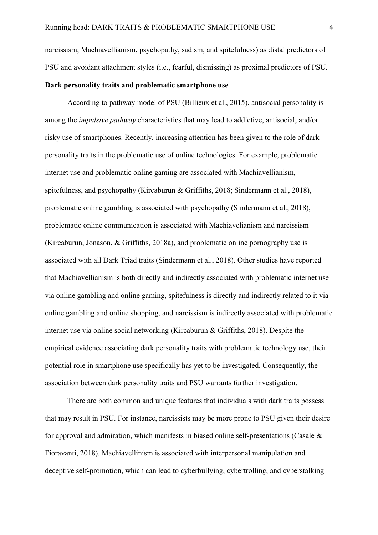narcissism, Machiavellianism, psychopathy, sadism, and spitefulness) as distal predictors of PSU and avoidant attachment styles (i.e., fearful, dismissing) as proximal predictors of PSU.

## **Dark personality traits and problematic smartphone use**

According to pathway model of PSU (Billieux et al., 2015), antisocial personality is among the *impulsive pathway* characteristics that may lead to addictive, antisocial, and/or risky use of smartphones. Recently, increasing attention has been given to the role of dark personality traits in the problematic use of online technologies. For example, problematic internet use and problematic online gaming are associated with Machiavellianism, spitefulness, and psychopathy (Kircaburun & Griffiths, 2018; Sindermann et al., 2018), problematic online gambling is associated with psychopathy (Sindermann et al., 2018), problematic online communication is associated with Machiavelianism and narcissism (Kircaburun, Jonason, & Griffiths, 2018a), and problematic online pornography use is associated with all Dark Triad traits (Sindermann et al., 2018). Other studies have reported that Machiavellianism is both directly and indirectly associated with problematic internet use via online gambling and online gaming, spitefulness is directly and indirectly related to it via online gambling and online shopping, and narcissism is indirectly associated with problematic internet use via online social networking (Kircaburun & Griffiths, 2018). Despite the empirical evidence associating dark personality traits with problematic technology use, their potential role in smartphone use specifically has yet to be investigated. Consequently, the association between dark personality traits and PSU warrants further investigation.

There are both common and unique features that individuals with dark traits possess that may result in PSU. For instance, narcissists may be more prone to PSU given their desire for approval and admiration, which manifests in biased online self-presentations (Casale & Fioravanti, 2018). Machiavellinism is associated with interpersonal manipulation and deceptive self-promotion, which can lead to cyberbullying, cybertrolling, and cyberstalking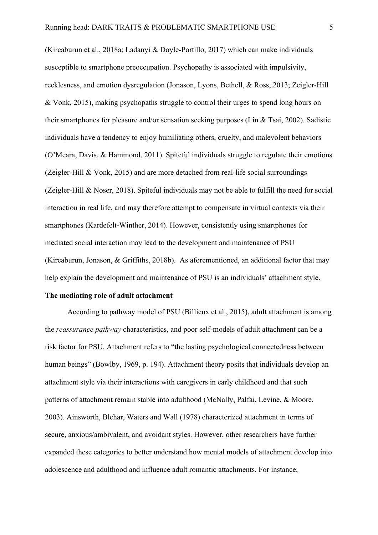(Kircaburun et al., 2018a; Ladanyi & Doyle-Portillo, 2017) which can make individuals susceptible to smartphone preoccupation. Psychopathy is associated with impulsivity, recklesness, and emotion dysregulation (Jonason, Lyons, Bethell, & Ross, 2013; Zeigler-Hill & Vonk, 2015), making psychopaths struggle to control their urges to spend long hours on their smartphones for pleasure and/or sensation seeking purposes (Lin & Tsai, 2002). Sadistic individuals have a tendency to enjoy humiliating others, cruelty, and malevolent behaviors (O'Meara, Davis, & Hammond, 2011). Spiteful individuals struggle to regulate their emotions (Zeigler-Hill & Vonk, 2015) and are more detached from real-life social surroundings (Zeigler-Hill & Noser, 2018). Spiteful individuals may not be able to fulfill the need for social interaction in real life, and may therefore attempt to compensate in virtual contexts via their smartphones (Kardefelt-Winther, 2014). However, consistently using smartphones for mediated social interaction may lead to the development and maintenance of PSU (Kircaburun, Jonason, & Griffiths, 2018b). As aforementioned, an additional factor that may help explain the development and maintenance of PSU is an individuals' attachment style.

## **The mediating role of adult attachment**

According to pathway model of PSU (Billieux et al., 2015), adult attachment is among the *reassurance pathway* characteristics, and poor self-models of adult attachment can be a risk factor for PSU. Attachment refers to "the lasting psychological connectedness between human beings" (Bowlby, 1969, p. 194). Attachment theory posits that individuals develop an attachment style via their interactions with caregivers in early childhood and that such patterns of attachment remain stable into adulthood (McNally, Palfai, Levine, & Moore, 2003). Ainsworth, Blehar, Waters and Wall (1978) characterized attachment in terms of secure, anxious/ambivalent, and avoidant styles. However, other researchers have further expanded these categories to better understand how mental models of attachment develop into adolescence and adulthood and influence adult romantic attachments. For instance,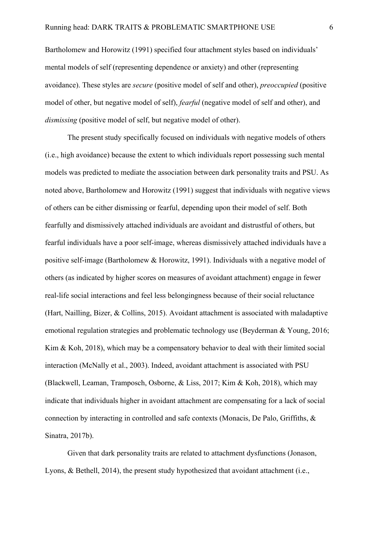Bartholomew and Horowitz (1991) specified four attachment styles based on individuals' mental models of self (representing dependence or anxiety) and other (representing avoidance). These styles are *secure* (positive model of self and other), *preoccupied* (positive model of other, but negative model of self), *fearful* (negative model of self and other), and *dismissing* (positive model of self, but negative model of other).

The present study specifically focused on individuals with negative models of others (i.e., high avoidance) because the extent to which individuals report possessing such mental models was predicted to mediate the association between dark personality traits and PSU. As noted above, Bartholomew and Horowitz (1991) suggest that individuals with negative views of others can be either dismissing or fearful, depending upon their model of self. Both fearfully and dismissively attached individuals are avoidant and distrustful of others, but fearful individuals have a poor self-image, whereas dismissively attached individuals have a positive self-image (Bartholomew & Horowitz, 1991). Individuals with a negative model of others (as indicated by higher scores on measures of avoidant attachment) engage in fewer real-life social interactions and feel less belongingness because of their social reluctance (Hart, Nailling, Bizer, & Collins, 2015). Avoidant attachment is associated with maladaptive emotional regulation strategies and problematic technology use (Beyderman & Young, 2016; Kim & Koh, 2018), which may be a compensatory behavior to deal with their limited social interaction (McNally et al., 2003). Indeed, avoidant attachment is associated with PSU (Blackwell, Leaman, Tramposch, Osborne, & Liss, 2017; Kim & Koh, 2018), which may indicate that individuals higher in avoidant attachment are compensating for a lack of social connection by interacting in controlled and safe contexts (Monacis, De Palo, Griffiths, & Sinatra, 2017b).

Given that dark personality traits are related to attachment dysfunctions (Jonason, Lyons, & Bethell, 2014), the present study hypothesized that avoidant attachment (i.e.,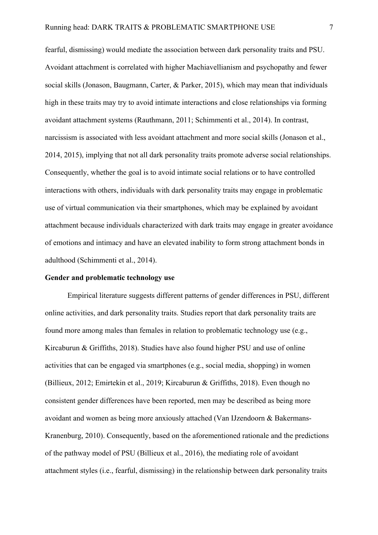fearful, dismissing) would mediate the association between dark personality traits and PSU. Avoidant attachment is correlated with higher Machiavellianism and psychopathy and fewer social skills (Jonason, Baugmann, Carter, & Parker, 2015), which may mean that individuals high in these traits may try to avoid intimate interactions and close relationships via forming avoidant attachment systems (Rauthmann, 2011; Schimmenti et al., 2014). In contrast, narcissism is associated with less avoidant attachment and more social skills (Jonason et al., 2014, 2015), implying that not all dark personality traits promote adverse social relationships. Consequently, whether the goal is to avoid intimate social relations or to have controlled interactions with others, individuals with dark personality traits may engage in problematic use of virtual communication via their smartphones, which may be explained by avoidant attachment because individuals characterized with dark traits may engage in greater avoidance of emotions and intimacy and have an elevated inability to form strong attachment bonds in adulthood (Schimmenti et al., 2014).

#### **Gender and problematic technology use**

Empirical literature suggests different patterns of gender differences in PSU, different online activities, and dark personality traits. Studies report that dark personality traits are found more among males than females in relation to problematic technology use (e.g., Kircaburun & Griffiths, 2018). Studies have also found higher PSU and use of online activities that can be engaged via smartphones (e.g., social media, shopping) in women (Billieux, 2012; Emirtekin et al., 2019; Kircaburun & Griffiths, 2018). Even though no consistent gender differences have been reported, men may be described as being more avoidant and women as being more anxiously attached (Van IJzendoorn & Bakermans-Kranenburg, 2010). Consequently, based on the aforementioned rationale and the predictions of the pathway model of PSU (Billieux et al., 2016), the mediating role of avoidant attachment styles (i.e., fearful, dismissing) in the relationship between dark personality traits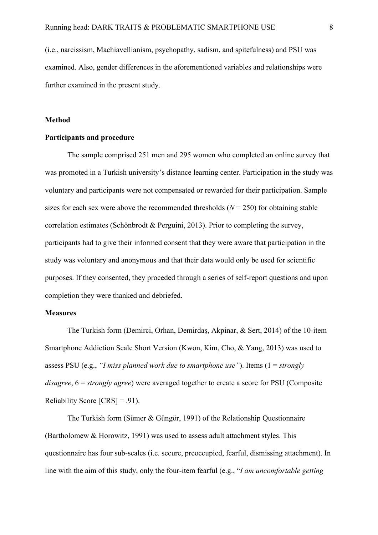(i.e., narcissism, Machiavellianism, psychopathy, sadism, and spitefulness) and PSU was examined. Also, gender differences in the aforementioned variables and relationships were further examined in the present study.

### **Method**

#### **Participants and procedure**

The sample comprised 251 men and 295 women who completed an online survey that was promoted in a Turkish university's distance learning center. Participation in the study was voluntary and participants were not compensated or rewarded for their participation. Sample sizes for each sex were above the recommended thresholds  $(N = 250)$  for obtaining stable correlation estimates (Schönbrodt & Perguini, 2013). Prior to completing the survey, participants had to give their informed consent that they were aware that participation in the study was voluntary and anonymous and that their data would only be used for scientific purposes. If they consented, they proceded through a series of self-report questions and upon completion they were thanked and debriefed.

# **Measures**

The Turkish form (Demirci, Orhan, Demirdaş, Akpinar, & Sert, 2014) of the 10-item Smartphone Addiction Scale Short Version (Kwon, Kim, Cho, & Yang, 2013) was used to assess PSU (e.g., *"I miss planned work due to smartphone use"*). Items (1 = *strongly disagree*, 6 = *strongly agree*) were averaged together to create a score for PSU (Composite Reliability Score  $[CRS] = .91$ ).

The Turkish form (Sümer & Güngör, 1991) of the Relationship Questionnaire (Bartholomew & Horowitz, 1991) was used to assess adult attachment styles. This questionnaire has four sub-scales (i.e. secure, preoccupied, fearful, dismissing attachment). In line with the aim of this study, only the four-item fearful (e.g., "*I am uncomfortable getting*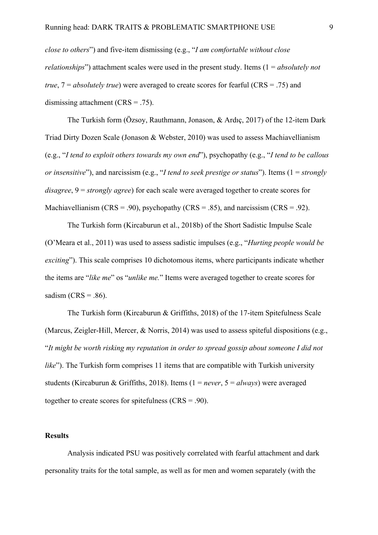*close to others*") and five-item dismissing (e.g., "*I am comfortable without close relationships*") attachment scales were used in the present study. Items (1 = *absolutely not true*, 7 = *absolutely true*) were averaged to create scores for fearful (CRS = .75) and dismissing attachment  $(CRS = .75)$ .

The Turkish form (Özsoy, Rauthmann, Jonason, & Ardıç, 2017) of the 12-item Dark Triad Dirty Dozen Scale (Jonason & Webster, 2010) was used to assess Machiavellianism (e.g., "*I tend to exploit others towards my own end*"), psychopathy (e.g., "*I tend to be callous or insensitive*"), and narcissism (e.g., "*I tend to seek prestige or status*"). Items (1 = *strongly disagree*, 9 = *strongly agree*) for each scale were averaged together to create scores for Machiavellianism (CRS = .90), psychopathy (CRS = .85), and narcissism (CRS = .92).

The Turkish form (Kircaburun et al., 2018b) of the Short Sadistic Impulse Scale (O'Meara et al., 2011) was used to assess sadistic impulses (e.g., "*Hurting people would be exciting*"). This scale comprises 10 dichotomous items, where participants indicate whether the items are "*like me*" os "*unlike me.*" Items were averaged together to create scores for sadism (CRS =  $.86$ ).

The Turkish form (Kircaburun & Griffiths, 2018) of the 17-item Spitefulness Scale (Marcus, Zeigler-Hill, Mercer, & Norris, 2014) was used to assess spiteful dispositions (e.g., "*It might be worth risking my reputation in order to spread gossip about someone I did not like*"). The Turkish form comprises 11 items that are compatible with Turkish university students (Kircaburun & Griffiths, 2018). Items (1 = *never*, 5 = *always*) were averaged together to create scores for spitefulness  $(CRS = .90)$ .

## **Results**

Analysis indicated PSU was positively correlated with fearful attachment and dark personality traits for the total sample, as well as for men and women separately (with the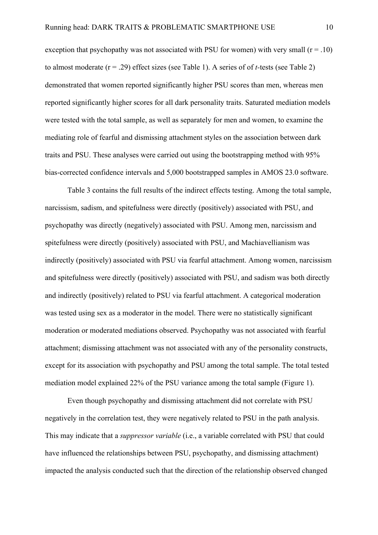exception that psychopathy was not associated with PSU for women) with very small  $(r = .10)$ to almost moderate (r = .29) effect sizes (see Table 1). A series of of *t-*tests (see Table 2) demonstrated that women reported significantly higher PSU scores than men, whereas men reported significantly higher scores for all dark personality traits. Saturated mediation models were tested with the total sample, as well as separately for men and women, to examine the mediating role of fearful and dismissing attachment styles on the association between dark traits and PSU. These analyses were carried out using the bootstrapping method with 95% bias-corrected confidence intervals and 5,000 bootstrapped samples in AMOS 23.0 software.

Table 3 contains the full results of the indirect effects testing. Among the total sample, narcissism, sadism, and spitefulness were directly (positively) associated with PSU, and psychopathy was directly (negatively) associated with PSU. Among men, narcissism and spitefulness were directly (positively) associated with PSU, and Machiavellianism was indirectly (positively) associated with PSU via fearful attachment. Among women, narcissism and spitefulness were directly (positively) associated with PSU, and sadism was both directly and indirectly (positively) related to PSU via fearful attachment. A categorical moderation was tested using sex as a moderator in the model. There were no statistically significant moderation or moderated mediations observed. Psychopathy was not associated with fearful attachment; dismissing attachment was not associated with any of the personality constructs, except for its association with psychopathy and PSU among the total sample. The total tested mediation model explained 22% of the PSU variance among the total sample (Figure 1).

Even though psychopathy and dismissing attachment did not correlate with PSU negatively in the correlation test, they were negatively related to PSU in the path analysis. This may indicate that a *suppressor variable* (i.e., a variable correlated with PSU that could have influenced the relationships between PSU, psychopathy, and dismissing attachment) impacted the analysis conducted such that the direction of the relationship observed changed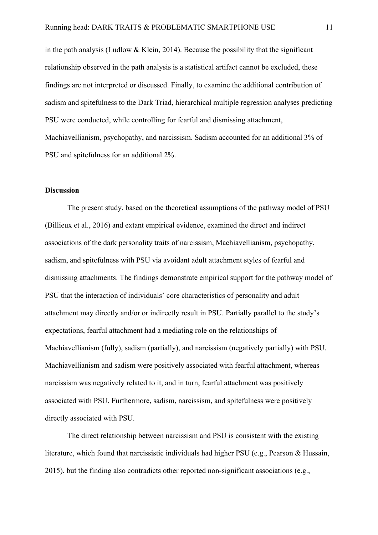in the path analysis (Ludlow  $&$  Klein, 2014). Because the possibility that the significant relationship observed in the path analysis is a statistical artifact cannot be excluded, these findings are not interpreted or discussed. Finally, to examine the additional contribution of sadism and spitefulness to the Dark Triad, hierarchical multiple regression analyses predicting PSU were conducted, while controlling for fearful and dismissing attachment, Machiavellianism, psychopathy, and narcissism. Sadism accounted for an additional 3% of PSU and spitefulness for an additional 2%.

## **Discussion**

The present study, based on the theoretical assumptions of the pathway model of PSU (Billieux et al., 2016) and extant empirical evidence, examined the direct and indirect associations of the dark personality traits of narcissism, Machiavellianism, psychopathy, sadism, and spitefulness with PSU via avoidant adult attachment styles of fearful and dismissing attachments. The findings demonstrate empirical support for the pathway model of PSU that the interaction of individuals' core characteristics of personality and adult attachment may directly and/or or indirectly result in PSU. Partially parallel to the study's expectations, fearful attachment had a mediating role on the relationships of Machiavellianism (fully), sadism (partially), and narcissism (negatively partially) with PSU. Machiavellianism and sadism were positively associated with fearful attachment, whereas narcissism was negatively related to it, and in turn, fearful attachment was positively associated with PSU. Furthermore, sadism, narcissism, and spitefulness were positively directly associated with PSU.

The direct relationship between narcissism and PSU is consistent with the existing literature, which found that narcissistic individuals had higher PSU (e.g., Pearson & Hussain, 2015), but the finding also contradicts other reported non-significant associations (e.g.,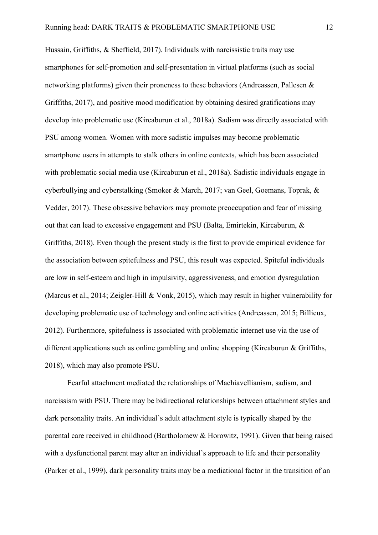Hussain, Griffiths, & Sheffield, 2017). Individuals with narcissistic traits may use smartphones for self-promotion and self-presentation in virtual platforms (such as social networking platforms) given their proneness to these behaviors (Andreassen, Pallesen & Griffiths, 2017), and positive mood modification by obtaining desired gratifications may develop into problematic use (Kircaburun et al., 2018a). Sadism was directly associated with PSU among women. Women with more sadistic impulses may become problematic smartphone users in attempts to stalk others in online contexts, which has been associated with problematic social media use (Kircaburun et al., 2018a). Sadistic individuals engage in cyberbullying and cyberstalking (Smoker & March, 2017; van Geel, Goemans, Toprak, & Vedder, 2017). These obsessive behaviors may promote preoccupation and fear of missing out that can lead to excessive engagement and PSU (Balta, Emirtekin, Kircaburun, & Griffiths, 2018). Even though the present study is the first to provide empirical evidence for the association between spitefulness and PSU, this result was expected. Spiteful individuals are low in self-esteem and high in impulsivity, aggressiveness, and emotion dysregulation (Marcus et al., 2014; Zeigler-Hill & Vonk, 2015), which may result in higher vulnerability for developing problematic use of technology and online activities (Andreassen, 2015; Billieux, 2012). Furthermore, spitefulness is associated with problematic internet use via the use of different applications such as online gambling and online shopping (Kircaburun & Griffiths, 2018), which may also promote PSU.

Fearful attachment mediated the relationships of Machiavellianism, sadism, and narcissism with PSU. There may be bidirectional relationships between attachment styles and dark personality traits. An individual's adult attachment style is typically shaped by the parental care received in childhood (Bartholomew & Horowitz, 1991). Given that being raised with a dysfunctional parent may alter an individual's approach to life and their personality (Parker et al., 1999), dark personality traits may be a mediational factor in the transition of an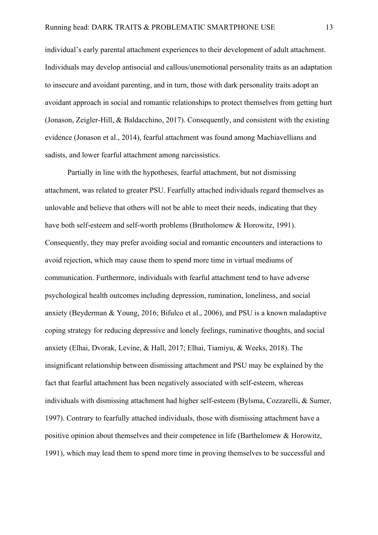individual's early parental attachment experiences to their development of adult attachment. Individuals may develop antisocial and callous/unemotional personality traits as an adaptation to insecure and avoidant parenting, and in turn, those with dark personality traits adopt an avoidant approach in social and romantic relationships to protect themselves from getting hurt (Jonason, Zeigler-Hill, & Baldacchino, 2017). Consequently, and consistent with the existing evidence (Jonason et al., 2014), fearful attachment was found among Machiavellians and sadists, and lower fearful attachment among narcissistics.

Partially in line with the hypotheses, fearful attachment, but not dismissing attachment, was related to greater PSU. Fearfully attached individuals regard themselves as unlovable and believe that others will not be able to meet their needs, indicating that they have both self-esteem and self-worth problems (Bratholomew & Horowitz, 1991). Consequently, they may prefer avoiding social and romantic encounters and interactions to avoid rejection, which may cause them to spend more time in virtual mediums of communication. Furthermore, individuals with fearful attachment tend to have adverse psychological health outcomes including depression, rumination, loneliness, and social anxiety (Beyderman & Young, 2016; Bifulco et al., 2006), and PSU is a known maladaptive coping strategy for reducing depressive and lonely feelings, ruminative thoughts, and social anxiety (Elhai, Dvorak, Levine, & Hall, 2017; Elhai, Tiamiyu, & Weeks, 2018). The insignificant relationship between dismissing attachment and PSU may be explained by the fact that fearful attachment has been negatively associated with self-esteem, whereas individuals with dismissing attachment had higher self-esteem (Bylsma, Cozzarelli, & Sumer, 1997). Contrary to fearfully attached individuals, those with dismissing attachment have a positive opinion about themselves and their competence in life (Barthelomew & Horowitz, 1991), which may lead them to spend more time in proving themselves to be successful and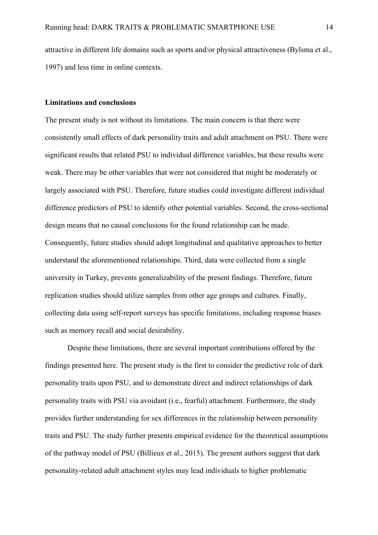attractive in different life domains such as sports and/or physical attractiveness (Bylsma et al., 1997) and less time in online contexts.

## **Limitations and conclusions**

The present study is not without its limitations. The main concern is that there were consistently small effects of dark personality traits and adult attachment on PSU. There were significant results that related PSU to individual difference variables, but these results were weak. There may be other variables that were not considered that might be moderately or largely associated with PSU. Therefore, future studies could investigate different individual difference predictors of PSU to identify other potential variables. Second, the cross-sectional design means that no causal conclusions for the found relationship can be made. Consequently, future studies should adopt longitudinal and qualitative approaches to better understand the aforementioned relationships. Third, data were collected from a single university in Turkey, prevents generalizability of the present findings. Therefore, future replication studies should utilize samples from other age groups and cultures. Finally, collecting data using self-report surveys has specific limitations, including response biases such as memory recall and social desirability.

Despite these limitations, there are several important contributions offered by the findings presented here. The present study is the first to consider the predictive role of dark personality traits upon PSU, and to demonstrate direct and indirect relationships of dark personality traits with PSU via avoidant (i.e., fearful) attachment. Furthermore, the study provides further understanding for sex differences in the relationship between personality traits and PSU. The study further presents empirical evidence for the theoretical assumptions of the pathway model of PSU (Billieux et al., 2015). The present authors suggest that dark personality-related adult attachment styles may lead individuals to higher problematic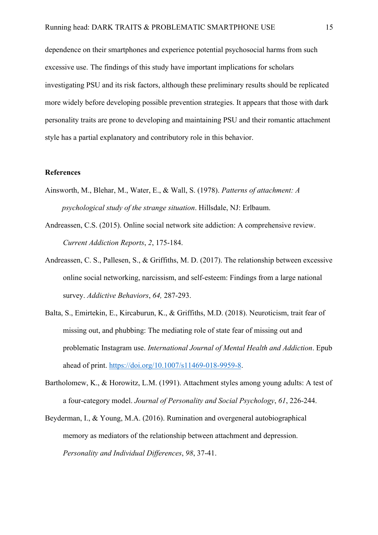dependence on their smartphones and experience potential psychosocial harms from such excessive use. The findings of this study have important implications for scholars investigating PSU and its risk factors, although these preliminary results should be replicated more widely before developing possible prevention strategies. It appears that those with dark personality traits are prone to developing and maintaining PSU and their romantic attachment style has a partial explanatory and contributory role in this behavior.

## **References**

- Ainsworth, M., Blehar, M., Water, E., & Wall, S. (1978). *Patterns of attachment: A psychological study of the strange situation*. Hillsdale, NJ: Erlbaum.
- Andreassen, C.S. (2015). Online social network site addiction: A comprehensive review. *Current Addiction Reports*, *2*, 175-184.
- Andreassen, C. S., Pallesen, S., & Griffiths, M. D. (2017). The relationship between excessive online social networking, narcissism, and self-esteem: Findings from a large national survey. *Addictive Behaviors*, *64,* 287-293.
- Balta, S., Emirtekin, E., Kircaburun, K., & Griffiths, M.D. (2018). Neuroticism, trait fear of missing out, and phubbing: The mediating role of state fear of missing out and problematic Instagram use. *International Journal of Mental Health and Addiction*. Epub ahead of print. https://doi.org/10.1007/s11469-018-9959-8.
- Bartholomew, K., & Horowitz, L.M. (1991). Attachment styles among young adults: A test of a four-category model. *Journal of Personality and Social Psychology*, *61*, 226-244.
- Beyderman, I., & Young, M.A. (2016). Rumination and overgeneral autobiographical memory as mediators of the relationship between attachment and depression. *Personality and Individual Differences*, *98*, 37-41.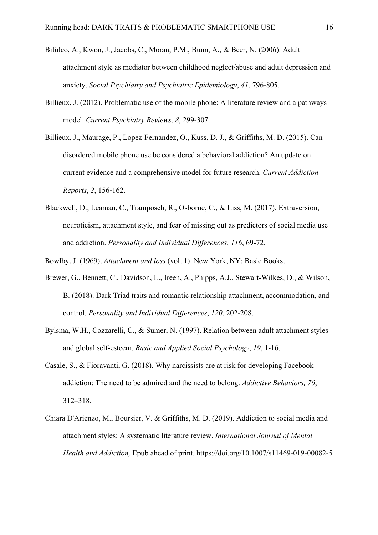- Bifulco, A., Kwon, J., Jacobs, C., Moran, P.M., Bunn, A., & Beer, N. (2006). Adult attachment style as mediator between childhood neglect/abuse and adult depression and anxiety. *Social Psychiatry and Psychiatric Epidemiology*, *41*, 796-805.
- Billieux, J. (2012). Problematic use of the mobile phone: A literature review and a pathways model. *Current Psychiatry Reviews*, *8*, 299-307.
- Billieux, J., Maurage, P., Lopez-Fernandez, O., Kuss, D. J., & Griffiths, M. D. (2015). Can disordered mobile phone use be considered a behavioral addiction? An update on current evidence and a comprehensive model for future research. *Current Addiction Reports*, *2*, 156-162.
- Blackwell, D., Leaman, C., Tramposch, R., Osborne, C., & Liss, M. (2017). Extraversion, neuroticism, attachment style, and fear of missing out as predictors of social media use and addiction. *Personality and Individual Differences*, *116*, 69-72.
- Bowlby, J. (1969). *Attachment and loss* (vol. 1). New York, NY: Basic Books.
- Brewer, G., Bennett, C., Davidson, L., Ireen, A., Phipps, A.J., Stewart-Wilkes, D., & Wilson, B. (2018). Dark Triad traits and romantic relationship attachment, accommodation, and control. *Personality and Individual Differences*, *120*, 202-208.
- Bylsma, W.H., Cozzarelli, C., & Sumer, N. (1997). Relation between adult attachment styles and global self-esteem. *Basic and Applied Social Psychology*, *19*, 1-16.
- Casale, S., & Fioravanti, G. (2018). Why narcissists are at risk for developing Facebook addiction: The need to be admired and the need to belong. *Addictive Behaviors, 76*, 312–318.
- Chiara D'Arienzo, M., Boursier, V. & Griffiths, M. D. (2019). Addiction to social media and attachment styles: A systematic literature review. *International Journal of Mental Health and Addiction,* Epub ahead of print. https://doi.org/10.1007/s11469-019-00082-5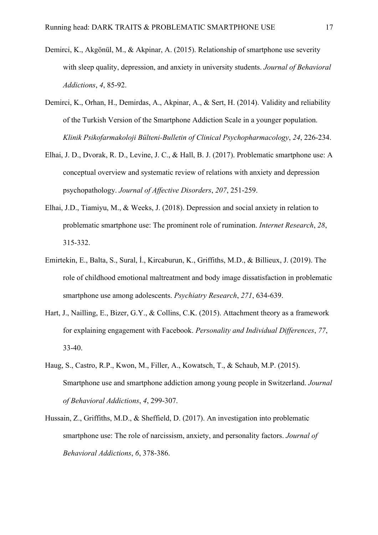- Demirci, K., Akgönül, M., & Akpinar, A. (2015). Relationship of smartphone use severity with sleep quality, depression, and anxiety in university students. *Journal of Behavioral Addictions*, *4*, 85-92.
- Demirci, K., Orhan, H., Demirdas, A., Akpinar, A., & Sert, H. (2014). Validity and reliability of the Turkish Version of the Smartphone Addiction Scale in a younger population. *Klinik Psikofarmakoloji Bülteni-Bulletin of Clinical Psychopharmacology*, *24*, 226-234.
- Elhai, J. D., Dvorak, R. D., Levine, J. C., & Hall, B. J. (2017). Problematic smartphone use: A conceptual overview and systematic review of relations with anxiety and depression psychopathology. *Journal of Affective Disorders*, *207*, 251-259.
- Elhai, J.D., Tiamiyu, M., & Weeks, J. (2018). Depression and social anxiety in relation to problematic smartphone use: The prominent role of rumination. *Internet Research*, *28*, 315-332.
- Emirtekin, E., Balta, S., Sural, İ., Kircaburun, K., Griffiths, M.D., & Billieux, J. (2019). The role of childhood emotional maltreatment and body image dissatisfaction in problematic smartphone use among adolescents. *Psychiatry Research*, *271*, 634-639.
- Hart, J., Nailling, E., Bizer, G.Y., & Collins, C.K. (2015). Attachment theory as a framework for explaining engagement with Facebook. *Personality and Individual Differences*, *77*, 33-40.
- Haug, S., Castro, R.P., Kwon, M., Filler, A., Kowatsch, T., & Schaub, M.P. (2015). Smartphone use and smartphone addiction among young people in Switzerland. *Journal of Behavioral Addictions*, *4*, 299-307.
- Hussain, Z., Griffiths, M.D., & Sheffield, D. (2017). An investigation into problematic smartphone use: The role of narcissism, anxiety, and personality factors. *Journal of Behavioral Addictions*, *6*, 378-386.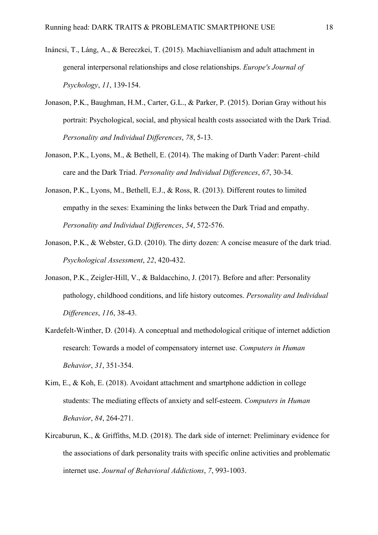- Ináncsi, T., Láng, A., & Bereczkei, T. (2015). Machiavellianism and adult attachment in general interpersonal relationships and close relationships. *Europe's Journal of Psychology*, *11*, 139-154.
- Jonason, P.K., Baughman, H.M., Carter, G.L., & Parker, P. (2015). Dorian Gray without his portrait: Psychological, social, and physical health costs associated with the Dark Triad. *Personality and Individual Differences*, *78*, 5-13.
- Jonason, P.K., Lyons, M., & Bethell, E. (2014). The making of Darth Vader: Parent–child care and the Dark Triad. *Personality and Individual Differences*, *67*, 30-34.
- Jonason, P.K., Lyons, M., Bethell, E.J., & Ross, R. (2013). Different routes to limited empathy in the sexes: Examining the links between the Dark Triad and empathy. *Personality and Individual Differences*, *54*, 572-576.
- Jonason, P.K., & Webster, G.D. (2010). The dirty dozen: A concise measure of the dark triad. *Psychological Assessment*, *22*, 420-432.
- Jonason, P.K., Zeigler-Hill, V., & Baldacchino, J. (2017). Before and after: Personality pathology, childhood conditions, and life history outcomes. *Personality and Individual Differences*, *116*, 38-43.
- Kardefelt-Winther, D. (2014). A conceptual and methodological critique of internet addiction research: Towards a model of compensatory internet use. *Computers in Human Behavior*, *31*, 351-354.
- Kim, E., & Koh, E. (2018). Avoidant attachment and smartphone addiction in college students: The mediating effects of anxiety and self-esteem. *Computers in Human Behavior*, *84*, 264-271.
- Kircaburun, K., & Griffiths, M.D. (2018). The dark side of internet: Preliminary evidence for the associations of dark personality traits with specific online activities and problematic internet use. *Journal of Behavioral Addictions*, *7*, 993-1003.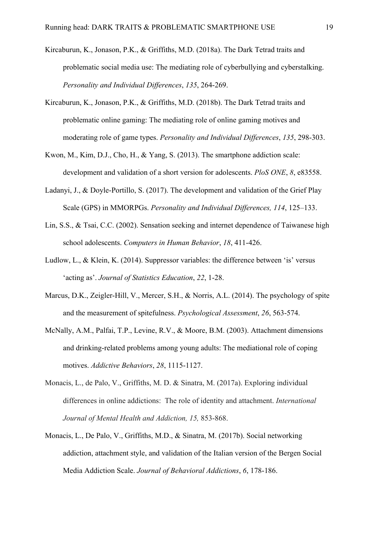- Kircaburun, K., Jonason, P.K., & Griffiths, M.D. (2018a). The Dark Tetrad traits and problematic social media use: The mediating role of cyberbullying and cyberstalking. *Personality and Individual Differences*, *135*, 264-269.
- Kircaburun, K., Jonason, P.K., & Griffiths, M.D. (2018b). The Dark Tetrad traits and problematic online gaming: The mediating role of online gaming motives and moderating role of game types. *Personality and Individual Differences*, *135*, 298-303.
- Kwon, M., Kim, D.J., Cho, H., & Yang, S. (2013). The smartphone addiction scale: development and validation of a short version for adolescents. *PloS ONE*, *8*, e83558.
- Ladanyi, J., & Doyle-Portillo, S. (2017). The development and validation of the Grief Play Scale (GPS) in MMORPGs. *Personality and Individual Differences, 114*, 125–133.
- Lin, S.S., & Tsai, C.C. (2002). Sensation seeking and internet dependence of Taiwanese high school adolescents. *Computers in Human Behavior*, *18*, 411-426.
- Ludlow, L., & Klein, K. (2014). Suppressor variables: the difference between 'is' versus 'acting as'. *Journal of Statistics Education*, *22*, 1-28.
- Marcus, D.K., Zeigler-Hill, V., Mercer, S.H., & Norris, A.L. (2014). The psychology of spite and the measurement of spitefulness. *Psychological Assessment*, *26*, 563-574.
- McNally, A.M., Palfai, T.P., Levine, R.V., & Moore, B.M. (2003). Attachment dimensions and drinking-related problems among young adults: The mediational role of coping motives. *Addictive Behaviors*, *28*, 1115-1127.
- Monacis, L., de Palo, V., Griffiths, M. D. & Sinatra, M. (2017a). Exploring individual differences in online addictions: The role of identity and attachment. *International Journal of Mental Health and Addiction, 15,* 853-868.
- Monacis, L., De Palo, V., Griffiths, M.D., & Sinatra, M. (2017b). Social networking addiction, attachment style, and validation of the Italian version of the Bergen Social Media Addiction Scale. *Journal of Behavioral Addictions*, *6*, 178-186.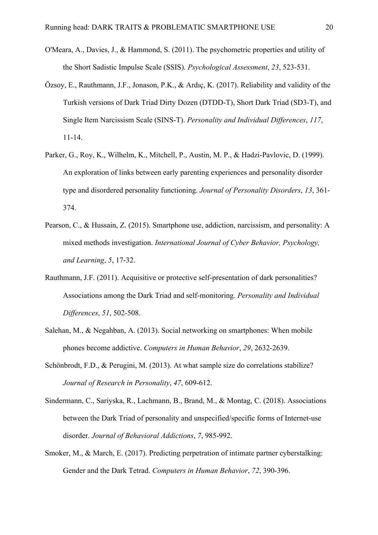- O'Meara, A., Davies, J., & Hammond, S. (2011). The psychometric properties and utility of the Short Sadistic Impulse Scale (SSIS). *Psychological Assessment*, *23*, 523-531.
- Özsoy, E., Rauthmann, J.F., Jonason, P.K., & Ardıç, K. (2017). Reliability and validity of the Turkish versions of Dark Triad Dirty Dozen (DTDD-T), Short Dark Triad (SD3-T), and Single Item Narcissism Scale (SINS-T). *Personality and Individual Differences*, *117*, 11-14.
- Parker, G., Roy, K., Wilhelm, K., Mitchell, P., Austin, M. P., & Hadzi-Pavlovic, D. (1999). An exploration of links between early parenting experiences and personality disorder type and disordered personality functioning. *Journal of Personality Disorders*, *13*, 361- 374.
- Pearson, C., & Hussain, Z. (2015). Smartphone use, addiction, narcissism, and personality: A mixed methods investigation. *International Journal of Cyber Behavior, Psychology, and Learning*, *5*, 17-32.
- Rauthmann, J.F. (2011). Acquisitive or protective self-presentation of dark personalities? Associations among the Dark Triad and self-monitoring. *Personality and Individual Differences*, *51*, 502-508.
- Salehan, M., & Negahban, A. (2013). Social networking on smartphones: When mobile phones become addictive. *Computers in Human Behavior*, *29*, 2632-2639.
- Schönbrodt, F.D., & Perugini, M. (2013). At what sample size do correlations stabilize? *Journal of Research in Personality*, *47*, 609-612.
- Sindermann, C., Sariyska, R., Lachmann, B., Brand, M., & Montag, C. (2018). Associations between the Dark Triad of personality and unspecified/specific forms of Internet-use disorder. *Journal of Behavioral Addictions*, *7*, 985-992.
- Smoker, M., & March, E. (2017). Predicting perpetration of intimate partner cyberstalking: Gender and the Dark Tetrad. *Computers in Human Behavior*, *72*, 390-396.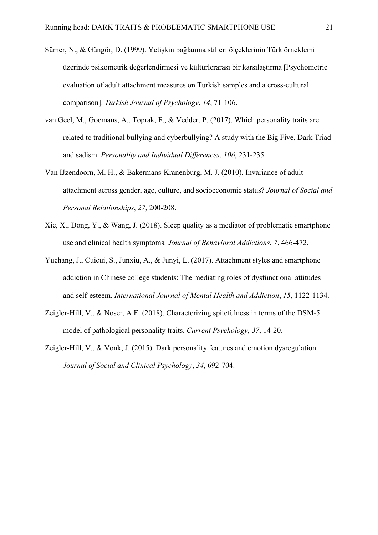- Sümer, N., & Güngör, D. (1999). Yetişkin bağlanma stilleri ölçeklerinin Türk örneklemi üzerinde psikometrik değerlendirmesi ve kültürlerarası bir karşılaştırma [Psychometric evaluation of adult attachment measures on Turkish samples and a cross-cultural comparison]. *Turkish Journal of Psychology*, *14*, 71-106.
- van Geel, M., Goemans, A., Toprak, F., & Vedder, P. (2017). Which personality traits are related to traditional bullying and cyberbullying? A study with the Big Five, Dark Triad and sadism. *Personality and Individual Differences*, *106*, 231-235.
- Van IJzendoorn, M. H., & Bakermans-Kranenburg, M. J. (2010). Invariance of adult attachment across gender, age, culture, and socioeconomic status? *Journal of Social and Personal Relationships*, *27*, 200-208.
- Xie, X., Dong, Y., & Wang, J. (2018). Sleep quality as a mediator of problematic smartphone use and clinical health symptoms. *Journal of Behavioral Addictions*, *7*, 466-472.
- Yuchang, J., Cuicui, S., Junxiu, A., & Junyi, L. (2017). Attachment styles and smartphone addiction in Chinese college students: The mediating roles of dysfunctional attitudes and self-esteem. *International Journal of Mental Health and Addiction*, *15*, 1122-1134.
- Zeigler-Hill, V., & Noser, A E. (2018). Characterizing spitefulness in terms of the DSM-5 model of pathological personality traits. *Current Psychology*, *37*, 14-20.
- Zeigler-Hill, V., & Vonk, J. (2015). Dark personality features and emotion dysregulation. *Journal of Social and Clinical Psychology*, *34*, 692-704.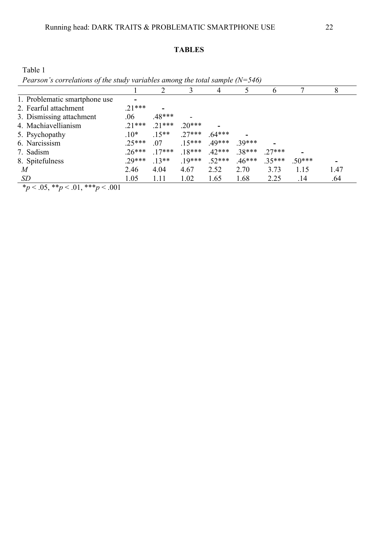#### **TABLES**

Table 1

*Pearson's correlations of the study variables among the total sample (N=546)* 1 2 3 4 5 6 7 8 1. Problematic smartphone use <br>2. Fearful attachment 21\*\*\* 2. Fearful attachment .21\*\*\* **-** 3. Dismissing attachment  $.06$   $.48***$ 4. Machiavellianism .21\*\*\* .21\*\*\* .20\*\*\* **-** 5. Psychopathy .10\* .15\*\* .27\*\*\* .64\*\*\* **-**<br>6. Narcissism .25\*\*\* .07 .15\*\*\* .49\*\*\* .39\*\*\* 6. Narcissism .25\*\*\* .07 .15\*\*\* .49\*\*\* .39\*\*\* **-** 7. Sadism .26\*\*\* .17\*\*\* .18\*\*\* .42\*\*\* .38\*\*\* .27\*\*\* **-** 8. Spitefulness .29\*\*\* .13\*\* .19\*\*\* .52\*\*\* .46\*\*\* .35\*\*\* .50\*\*\* **-** *M* 2.46 4.04 4.67 2.52 2.70 3.73 1.15 1.47 *SD* 1.05 1.11 1.02 1.65 1.68 2.25 .14 .64

 $*_{p}$  < .05, \*\**p* < .01, \*\*\**p* < .001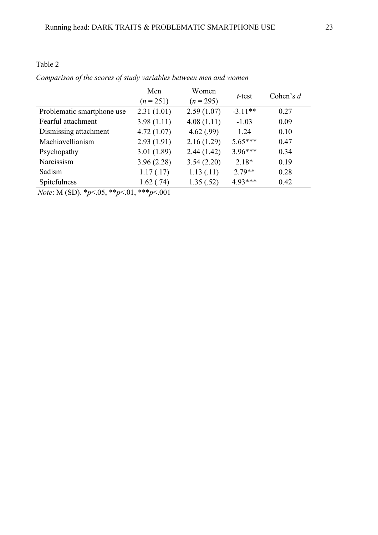|                            | Men<br>$(n = 251)$ | Women<br>$(n = 295)$ | t-test    | Cohen's $d$ |
|----------------------------|--------------------|----------------------|-----------|-------------|
| Problematic smartphone use | 2.31(1.01)         | 2.59(1.07)           | $-3.11**$ | 0.27        |
| Fearful attachment         | 3.98(1.11)         | 4.08(1.11)           | $-1.03$   | 0.09        |
| Dismissing attachment      | 4.72(1.07)         | 4.62(.99)            | 1.24      | 0.10        |
| Machiavellianism           | 2.93(1.91)         | 2.16(1.29)           | $5.65***$ | 0.47        |
| Psychopathy                | 3.01(1.89)         | 2.44(1.42)           | $3.96***$ | 0.34        |
| Narcissism                 | 3.96(2.28)         | 3.54(2.20)           | $2.18*$   | 0.19        |
| Sadism                     | 1.17(0.17)         | 1.13(0.11)           | $2.79**$  | 0.28        |
| Spitefulness               | 1.62(0.74)         | 1.35(.52)            | 4.93***   | 0.42        |

*Comparison of the scores of study variables between men and women*

*Note*: M (SD). \**p*<.05, \*\**p*<.01, \*\*\**p*<.001

Table 2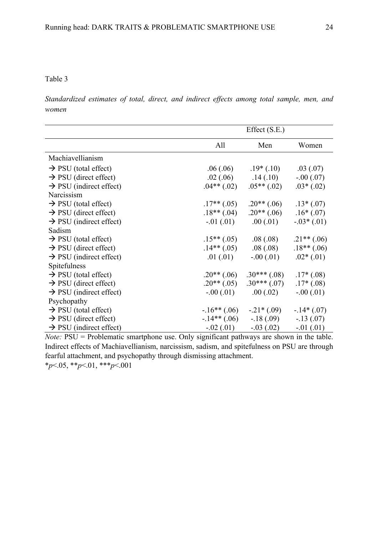# Table 3

*Standardized estimates of total, direct, and indirect effects among total sample, men, and women*

|                                     | Effect $(S.E.)$  |               |              |
|-------------------------------------|------------------|---------------|--------------|
|                                     | All              | Men           | Women        |
| Machiavellianism                    |                  |               |              |
| $\rightarrow$ PSU (total effect)    | .06(.06)         | $.19*(.10)$   | .03(0.07)    |
| $\rightarrow$ PSU (direct effect)   | .02(.06)         | .14(.10)      | $-.00(.07)$  |
| $\rightarrow$ PSU (indirect effect) | $.04$ ** $(.02)$ | $.05**(.02)$  | $.03*(.02)$  |
| Narcissism                          |                  |               |              |
| $\rightarrow$ PSU (total effect)    | $.17**$ (.05)    | $.20**$ (.06) | $.13*(.07)$  |
| $\rightarrow$ PSU (direct effect)   | $.18**(.04)$     | $.20**(.06)$  | $.16*(.07)$  |
| $\rightarrow$ PSU (indirect effect) | $-0.01$ $(0.01)$ | .00(0.01)     | $-.03*(.01)$ |
| Sadism                              |                  |               |              |
| $\rightarrow$ PSU (total effect)    | $.15**(.05)$     | .08(.08)      | $.21**(.06)$ |
| $\rightarrow$ PSU (direct effect)   | $.14**(.05)$     | .08(.08)      | $.18**(.06)$ |
| $\rightarrow$ PSU (indirect effect) | .01(0.01)        | $-.00(.01)$   | $.02*(.01)$  |
| Spitefulness                        |                  |               |              |
| $\rightarrow$ PSU (total effect)    | $.20**(.06)$     | $.30***(.08)$ | $.17*(.08)$  |
| $\rightarrow$ PSU (direct effect)   | $.20**(.05)$     | $.30***(.07)$ | $.17*(.08)$  |
| $\rightarrow$ PSU (indirect effect) | $-.00(.01)$      | .00(.02)      | $-.00(.01)$  |
| Psychopathy                         |                  |               |              |
| $\rightarrow$ PSU (total effect)    | $-.16**(.06)$    | $-.21*(.09)$  | $-.14*(.07)$ |
| $\rightarrow$ PSU (direct effect)   | $-.14**(.06)$    | $-.18(.09)$   | $-.13(.07)$  |
| $\rightarrow$ PSU (indirect effect) | $-0.02(0.01)$    | $-.03(.02)$   | $-.01(.01)$  |

*Note:* PSU = Problematic smartphone use. Only significant pathways are shown in the table. Indirect effects of Machiavellianism, narcissism, sadism, and spitefulness on PSU are through fearful attachment, and psychopathy through dismissing attachment. \**p*<.05, \*\**p*<.01, \*\*\**p*<.001